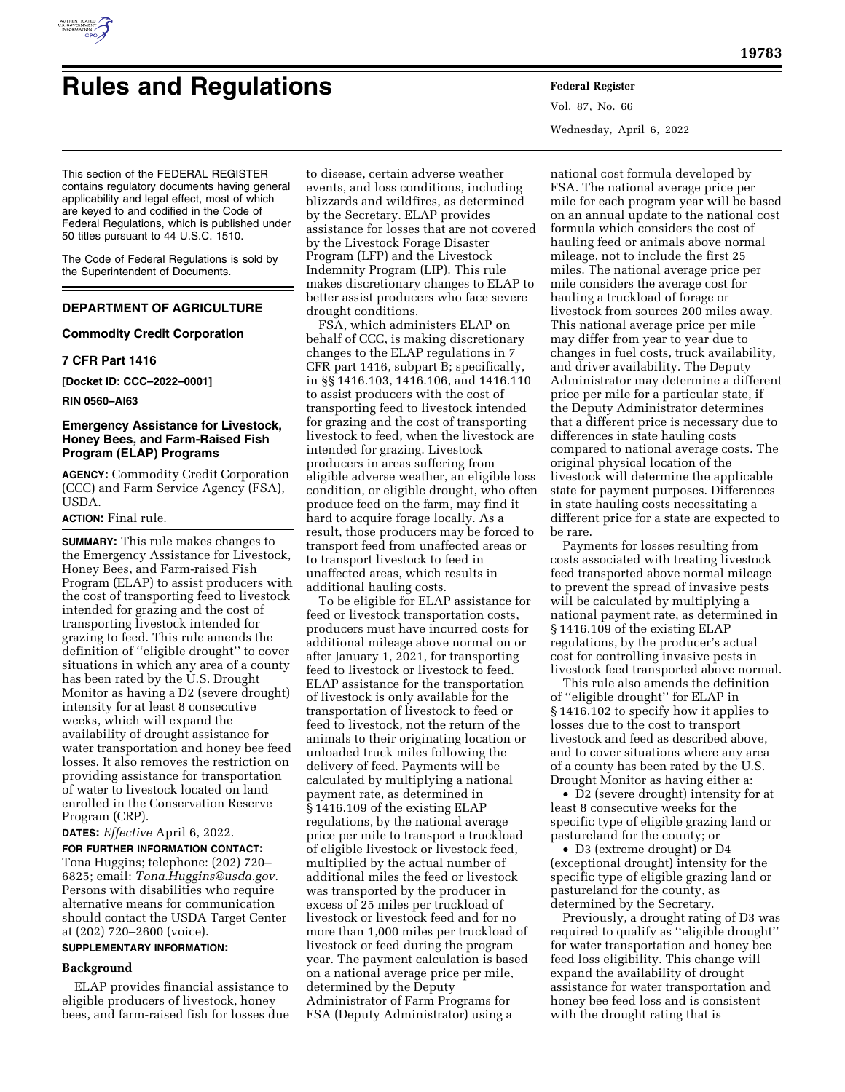

# **Rules and Regulations Federal Register**

Vol. 87, No. 66 Wednesday, April 6, 2022

This section of the FEDERAL REGISTER contains regulatory documents having general applicability and legal effect, most of which are keyed to and codified in the Code of Federal Regulations, which is published under 50 titles pursuant to 44 U.S.C. 1510.

The Code of Federal Regulations is sold by the Superintendent of Documents.

# **DEPARTMENT OF AGRICULTURE**

#### **Commodity Credit Corporation**

#### **7 CFR Part 1416**

**[Docket ID: CCC–2022–0001]** 

**RIN 0560–AI63** 

#### **Emergency Assistance for Livestock, Honey Bees, and Farm-Raised Fish Program (ELAP) Programs**

**AGENCY:** Commodity Credit Corporation (CCC) and Farm Service Agency (FSA), USDA.

#### **ACTION:** Final rule.

**SUMMARY:** This rule makes changes to the Emergency Assistance for Livestock, Honey Bees, and Farm-raised Fish Program (ELAP) to assist producers with the cost of transporting feed to livestock intended for grazing and the cost of transporting livestock intended for grazing to feed. This rule amends the definition of ''eligible drought'' to cover situations in which any area of a county has been rated by the U.S. Drought Monitor as having a D2 (severe drought) intensity for at least 8 consecutive weeks, which will expand the availability of drought assistance for water transportation and honey bee feed losses. It also removes the restriction on providing assistance for transportation of water to livestock located on land enrolled in the Conservation Reserve Program (CRP).

**DATES:** *Effective* April 6, 2022.

**FOR FURTHER INFORMATION CONTACT:**  Tona Huggins; telephone: (202) 720– 6825; email: *[Tona.Huggins@usda.gov.](mailto:Tona.Huggins@usda.gov)*  Persons with disabilities who require alternative means for communication should contact the USDA Target Center at (202) 720–2600 (voice).

## **SUPPLEMENTARY INFORMATION:**

#### **Background**

ELAP provides financial assistance to eligible producers of livestock, honey bees, and farm-raised fish for losses due

to disease, certain adverse weather events, and loss conditions, including blizzards and wildfires, as determined by the Secretary. ELAP provides assistance for losses that are not covered by the Livestock Forage Disaster Program (LFP) and the Livestock Indemnity Program (LIP). This rule makes discretionary changes to ELAP to better assist producers who face severe drought conditions.

FSA, which administers ELAP on behalf of CCC, is making discretionary changes to the ELAP regulations in 7 CFR part 1416, subpart B; specifically, in §§ 1416.103, 1416.106, and 1416.110 to assist producers with the cost of transporting feed to livestock intended for grazing and the cost of transporting livestock to feed, when the livestock are intended for grazing. Livestock producers in areas suffering from eligible adverse weather, an eligible loss condition, or eligible drought, who often produce feed on the farm, may find it hard to acquire forage locally. As a result, those producers may be forced to transport feed from unaffected areas or to transport livestock to feed in unaffected areas, which results in additional hauling costs.

To be eligible for ELAP assistance for feed or livestock transportation costs, producers must have incurred costs for additional mileage above normal on or after January 1, 2021, for transporting feed to livestock or livestock to feed. ELAP assistance for the transportation of livestock is only available for the transportation of livestock to feed or feed to livestock, not the return of the animals to their originating location or unloaded truck miles following the delivery of feed. Payments will be calculated by multiplying a national payment rate, as determined in § 1416.109 of the existing ELAP regulations, by the national average price per mile to transport a truckload of eligible livestock or livestock feed, multiplied by the actual number of additional miles the feed or livestock was transported by the producer in excess of 25 miles per truckload of livestock or livestock feed and for no more than 1,000 miles per truckload of livestock or feed during the program year. The payment calculation is based on a national average price per mile, determined by the Deputy Administrator of Farm Programs for FSA (Deputy Administrator) using a

national cost formula developed by FSA. The national average price per mile for each program year will be based on an annual update to the national cost formula which considers the cost of hauling feed or animals above normal mileage, not to include the first 25 miles. The national average price per mile considers the average cost for hauling a truckload of forage or livestock from sources 200 miles away. This national average price per mile may differ from year to year due to changes in fuel costs, truck availability, and driver availability. The Deputy Administrator may determine a different price per mile for a particular state, if the Deputy Administrator determines that a different price is necessary due to differences in state hauling costs compared to national average costs. The original physical location of the livestock will determine the applicable state for payment purposes. Differences in state hauling costs necessitating a different price for a state are expected to be rare.

Payments for losses resulting from costs associated with treating livestock feed transported above normal mileage to prevent the spread of invasive pests will be calculated by multiplying a national payment rate, as determined in § 1416.109 of the existing ELAP regulations, by the producer's actual cost for controlling invasive pests in livestock feed transported above normal.

This rule also amends the definition of ''eligible drought'' for ELAP in § 1416.102 to specify how it applies to losses due to the cost to transport livestock and feed as described above, and to cover situations where any area of a county has been rated by the U.S. Drought Monitor as having either a:

• D2 (severe drought) intensity for at least 8 consecutive weeks for the specific type of eligible grazing land or pastureland for the county; or

• D3 (extreme drought) or D4 (exceptional drought) intensity for the specific type of eligible grazing land or pastureland for the county, as determined by the Secretary.

Previously, a drought rating of D3 was required to qualify as ''eligible drought'' for water transportation and honey bee feed loss eligibility. This change will expand the availability of drought assistance for water transportation and honey bee feed loss and is consistent with the drought rating that is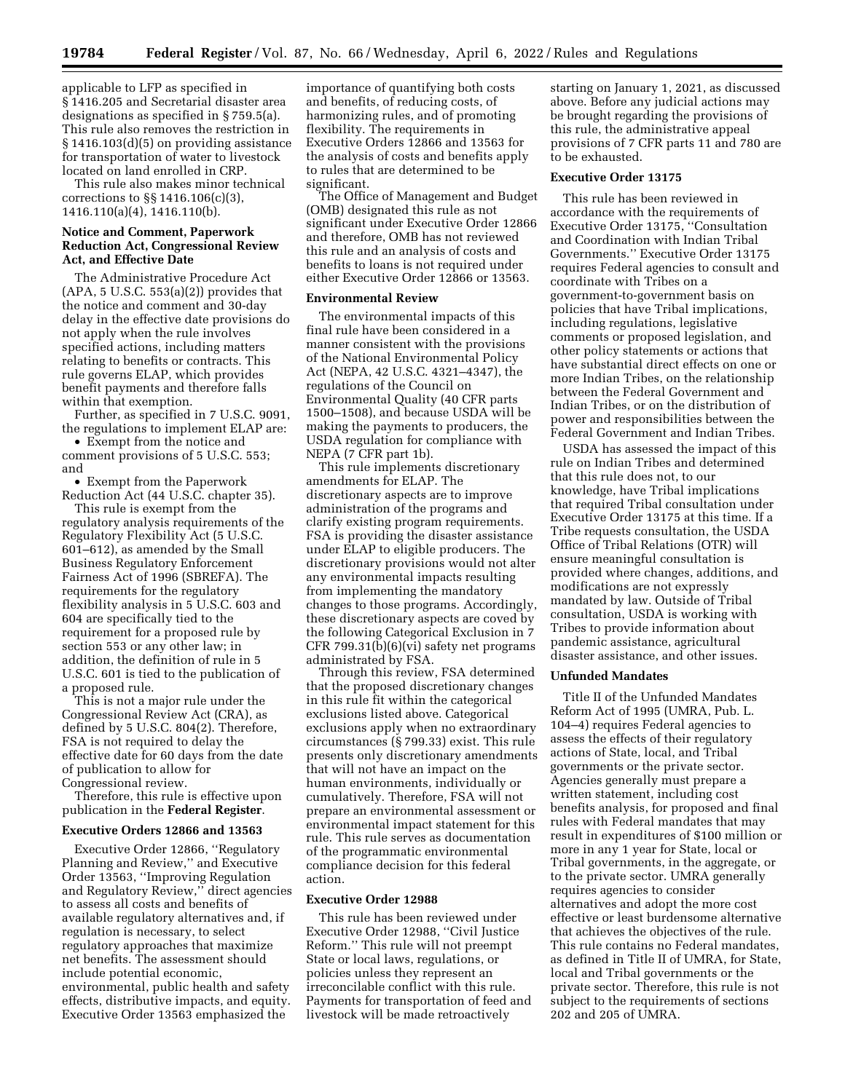applicable to LFP as specified in § 1416.205 and Secretarial disaster area designations as specified in § 759.5(a). This rule also removes the restriction in § 1416.103(d)(5) on providing assistance for transportation of water to livestock located on land enrolled in CRP.

This rule also makes minor technical corrections to §§ 1416.106(c)(3), 1416.110(a)(4), 1416.110(b).

#### **Notice and Comment, Paperwork Reduction Act, Congressional Review Act, and Effective Date**

The Administrative Procedure Act  $(APA, 5 U.S.C. 553(a)(2))$  provides that the notice and comment and 30-day delay in the effective date provisions do not apply when the rule involves specified actions, including matters relating to benefits or contracts. This rule governs ELAP, which provides benefit payments and therefore falls within that exemption.

Further, as specified in 7 U.S.C. 9091, the regulations to implement ELAP are:

• Exempt from the notice and comment provisions of 5 U.S.C. 553; and

• Exempt from the Paperwork Reduction Act (44 U.S.C. chapter 35).

This rule is exempt from the regulatory analysis requirements of the Regulatory Flexibility Act (5 U.S.C. 601–612), as amended by the Small Business Regulatory Enforcement Fairness Act of 1996 (SBREFA). The requirements for the regulatory flexibility analysis in 5 U.S.C. 603 and 604 are specifically tied to the requirement for a proposed rule by section 553 or any other law; in addition, the definition of rule in 5 U.S.C. 601 is tied to the publication of a proposed rule.

This is not a major rule under the Congressional Review Act (CRA), as defined by 5 U.S.C. 804(2). Therefore, FSA is not required to delay the effective date for 60 days from the date of publication to allow for Congressional review.

Therefore, this rule is effective upon publication in the **Federal Register**.

#### **Executive Orders 12866 and 13563**

Executive Order 12866, ''Regulatory Planning and Review,'' and Executive Order 13563, ''Improving Regulation and Regulatory Review,'' direct agencies to assess all costs and benefits of available regulatory alternatives and, if regulation is necessary, to select regulatory approaches that maximize net benefits. The assessment should include potential economic, environmental, public health and safety effects, distributive impacts, and equity. Executive Order 13563 emphasized the

importance of quantifying both costs and benefits, of reducing costs, of harmonizing rules, and of promoting flexibility. The requirements in Executive Orders 12866 and 13563 for the analysis of costs and benefits apply to rules that are determined to be significant.

The Office of Management and Budget (OMB) designated this rule as not significant under Executive Order 12866 and therefore, OMB has not reviewed this rule and an analysis of costs and benefits to loans is not required under either Executive Order 12866 or 13563.

#### **Environmental Review**

The environmental impacts of this final rule have been considered in a manner consistent with the provisions of the National Environmental Policy Act (NEPA, 42 U.S.C. 4321–4347), the regulations of the Council on Environmental Quality (40 CFR parts 1500–1508), and because USDA will be making the payments to producers, the USDA regulation for compliance with NEPA (7 CFR part 1b).

This rule implements discretionary amendments for ELAP. The discretionary aspects are to improve administration of the programs and clarify existing program requirements. FSA is providing the disaster assistance under ELAP to eligible producers. The discretionary provisions would not alter any environmental impacts resulting from implementing the mandatory changes to those programs. Accordingly, these discretionary aspects are coved by the following Categorical Exclusion in 7 CFR 799.31(b)(6)(vi) safety net programs administrated by FSA.

Through this review, FSA determined that the proposed discretionary changes in this rule fit within the categorical exclusions listed above. Categorical exclusions apply when no extraordinary circumstances (§ 799.33) exist. This rule presents only discretionary amendments that will not have an impact on the human environments, individually or cumulatively. Therefore, FSA will not prepare an environmental assessment or environmental impact statement for this rule. This rule serves as documentation of the programmatic environmental compliance decision for this federal action.

#### **Executive Order 12988**

This rule has been reviewed under Executive Order 12988, ''Civil Justice Reform.'' This rule will not preempt State or local laws, regulations, or policies unless they represent an irreconcilable conflict with this rule. Payments for transportation of feed and livestock will be made retroactively

starting on January 1, 2021, as discussed above. Before any judicial actions may be brought regarding the provisions of this rule, the administrative appeal provisions of 7 CFR parts 11 and 780 are to be exhausted.

#### **Executive Order 13175**

This rule has been reviewed in accordance with the requirements of Executive Order 13175, ''Consultation and Coordination with Indian Tribal Governments.'' Executive Order 13175 requires Federal agencies to consult and coordinate with Tribes on a government-to-government basis on policies that have Tribal implications, including regulations, legislative comments or proposed legislation, and other policy statements or actions that have substantial direct effects on one or more Indian Tribes, on the relationship between the Federal Government and Indian Tribes, or on the distribution of power and responsibilities between the Federal Government and Indian Tribes.

USDA has assessed the impact of this rule on Indian Tribes and determined that this rule does not, to our knowledge, have Tribal implications that required Tribal consultation under Executive Order 13175 at this time. If a Tribe requests consultation, the USDA Office of Tribal Relations (OTR) will ensure meaningful consultation is provided where changes, additions, and modifications are not expressly mandated by law. Outside of Tribal consultation, USDA is working with Tribes to provide information about pandemic assistance, agricultural disaster assistance, and other issues.

#### **Unfunded Mandates**

Title II of the Unfunded Mandates Reform Act of 1995 (UMRA, Pub. L. 104–4) requires Federal agencies to assess the effects of their regulatory actions of State, local, and Tribal governments or the private sector. Agencies generally must prepare a written statement, including cost benefits analysis, for proposed and final rules with Federal mandates that may result in expenditures of \$100 million or more in any 1 year for State, local or Tribal governments, in the aggregate, or to the private sector. UMRA generally requires agencies to consider alternatives and adopt the more cost effective or least burdensome alternative that achieves the objectives of the rule. This rule contains no Federal mandates, as defined in Title II of UMRA, for State, local and Tribal governments or the private sector. Therefore, this rule is not subject to the requirements of sections 202 and 205 of UMRA.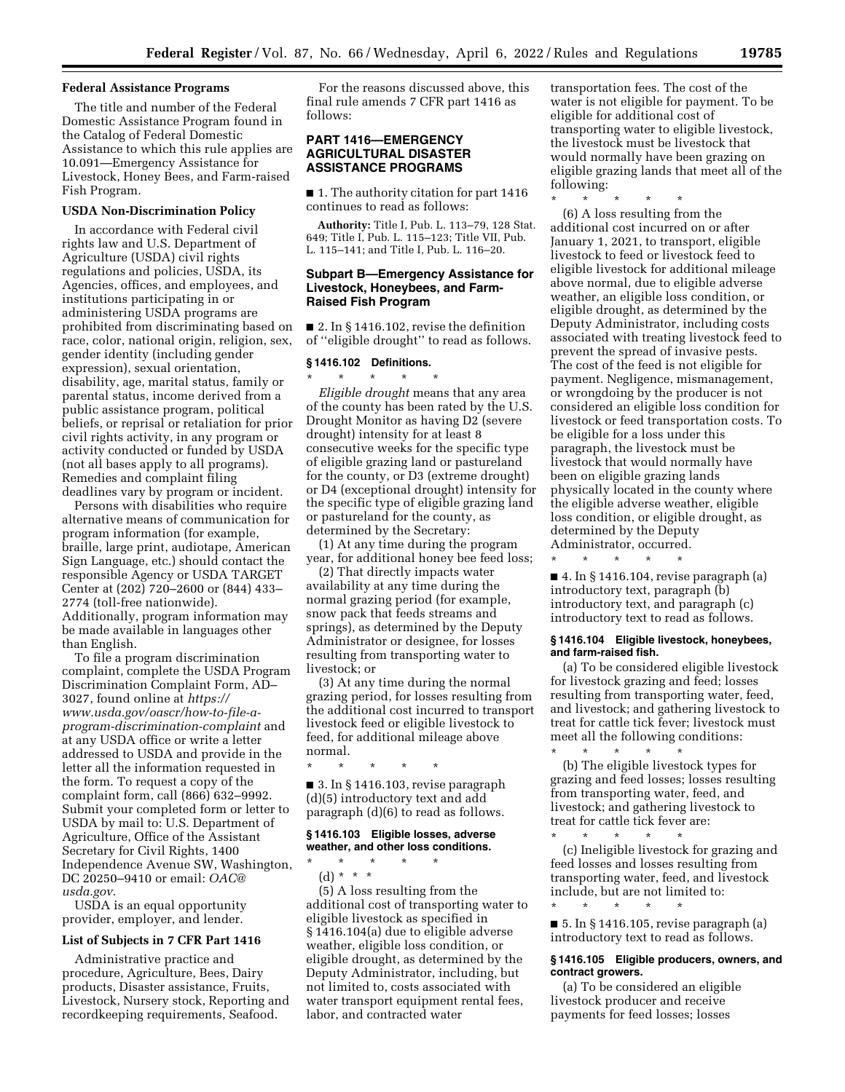#### **Federal Assistance Programs**

The title and number of the Federal Domestic Assistance Program found in the Catalog of Federal Domestic Assistance to which this rule applies are 10.091—Emergency Assistance for Livestock, Honey Bees, and Farm-raised Fish Program.

#### **USDA Non-Discrimination Policy**

In accordance with Federal civil rights law and U.S. Department of Agriculture (USDA) civil rights regulations and policies, USDA, its Agencies, offices, and employees, and institutions participating in or administering USDA programs are prohibited from discriminating based on race, color, national origin, religion, sex, gender identity (including gender expression), sexual orientation, disability, age, marital status, family or parental status, income derived from a public assistance program, political beliefs, or reprisal or retaliation for prior civil rights activity, in any program or activity conducted or funded by USDA (not all bases apply to all programs). Remedies and complaint filing deadlines vary by program or incident.

Persons with disabilities who require alternative means of communication for program information (for example, braille, large print, audiotape, American Sign Language, etc.) should contact the responsible Agency or USDA TARGET Center at (202) 720–2600 or (844) 433– 2774 (toll-free nationwide). Additionally, program information may be made available in languages other than English.

To file a program discrimination complaint, complete the USDA Program Discrimination Complaint Form, AD– 3027, found online at *[https://](https://www.usda.gov/oascr/how-to-file-a-program-discrimination-complaint) [www.usda.gov/oascr/how-to-file-a](https://www.usda.gov/oascr/how-to-file-a-program-discrimination-complaint)[program-discrimination-complaint](https://www.usda.gov/oascr/how-to-file-a-program-discrimination-complaint)* and at any USDA office or write a letter addressed to USDA and provide in the letter all the information requested in the form. To request a copy of the complaint form, call (866) 632–9992. Submit your completed form or letter to USDA by mail to: U.S. Department of Agriculture, Office of the Assistant Secretary for Civil Rights, 1400 Independence Avenue SW, Washington, DC 20250–9410 or email: *[OAC@](mailto:OAC@usda.gov) [usda.gov.](mailto:OAC@usda.gov)* 

USDA is an equal opportunity provider, employer, and lender.

#### **List of Subjects in 7 CFR Part 1416**

Administrative practice and procedure, Agriculture, Bees, Dairy products, Disaster assistance, Fruits, Livestock, Nursery stock, Reporting and recordkeeping requirements, Seafood.

For the reasons discussed above, this final rule amends 7 CFR part 1416 as follows:

#### **PART 1416—EMERGENCY AGRICULTURAL DISASTER ASSISTANCE PROGRAMS**

■ 1. The authority citation for part 1416 continues to read as follows:

**Authority:** Title I, Pub. L. 113–79, 128 Stat. 649; Title I, Pub. L. 115–123; Title VII, Pub. L. 115–141; and Title I, Pub. L. 116–20.

#### **Subpart B—Emergency Assistance for Livestock, Honeybees, and Farm-Raised Fish Program**

■ 2. In § 1416.102, revise the definition of ''eligible drought'' to read as follows.

#### **§ 1416.102 Definitions.**

\* \* \* \* \* *Eligible drought* means that any area of the county has been rated by the U.S. Drought Monitor as having D2 (severe drought) intensity for at least 8 consecutive weeks for the specific type of eligible grazing land or pastureland for the county, or D3 (extreme drought) or D4 (exceptional drought) intensity for the specific type of eligible grazing land or pastureland for the county, as determined by the Secretary:

(1) At any time during the program year, for additional honey bee feed loss;

(2) That directly impacts water availability at any time during the normal grazing period (for example, snow pack that feeds streams and springs), as determined by the Deputy Administrator or designee, for losses resulting from transporting water to livestock; or

(3) At any time during the normal grazing period, for losses resulting from the additional cost incurred to transport livestock feed or eligible livestock to feed, for additional mileage above normal.

\* \* \* \* \* ■ 3. In § 1416.103, revise paragraph (d)(5) introductory text and add paragraph (d)(6) to read as follows.

#### **§ 1416.103 Eligible losses, adverse weather, and other loss conditions.**

- \* \* \* \* \*
- (d) \* \* \*

(5) A loss resulting from the additional cost of transporting water to eligible livestock as specified in § 1416.104(a) due to eligible adverse weather, eligible loss condition, or eligible drought, as determined by the Deputy Administrator, including, but not limited to, costs associated with water transport equipment rental fees, labor, and contracted water

transportation fees. The cost of the water is not eligible for payment. To be eligible for additional cost of transporting water to eligible livestock, the livestock must be livestock that would normally have been grazing on eligible grazing lands that meet all of the following:

\* \* \* \* \* (6) A loss resulting from the additional cost incurred on or after January 1, 2021, to transport, eligible livestock to feed or livestock feed to eligible livestock for additional mileage above normal, due to eligible adverse weather, an eligible loss condition, or eligible drought, as determined by the Deputy Administrator, including costs associated with treating livestock feed to prevent the spread of invasive pests. The cost of the feed is not eligible for payment. Negligence, mismanagement, or wrongdoing by the producer is not considered an eligible loss condition for livestock or feed transportation costs. To be eligible for a loss under this paragraph, the livestock must be livestock that would normally have been on eligible grazing lands physically located in the county where the eligible adverse weather, eligible loss condition, or eligible drought, as determined by the Deputy Administrator, occurred.

■ 4. In § 1416.104, revise paragraph (a) introductory text, paragraph (b) introductory text, and paragraph (c) introductory text to read as follows.

\* \* \* \* \*

#### **§ 1416.104 Eligible livestock, honeybees, and farm-raised fish.**

(a) To be considered eligible livestock for livestock grazing and feed; losses resulting from transporting water, feed, and livestock; and gathering livestock to treat for cattle tick fever; livestock must meet all the following conditions: \* \* \* \* \*

(b) The eligible livestock types for grazing and feed losses; losses resulting from transporting water, feed, and livestock; and gathering livestock to treat for cattle tick fever are:

\* \* \* \* \* (c) Ineligible livestock for grazing and feed losses and losses resulting from transporting water, feed, and livestock include, but are not limited to:

■ 5. In § 1416.105, revise paragraph (a) introductory text to read as follows.

\* \* \* \* \*

#### **§ 1416.105 Eligible producers, owners, and contract growers.**

(a) To be considered an eligible livestock producer and receive payments for feed losses; losses